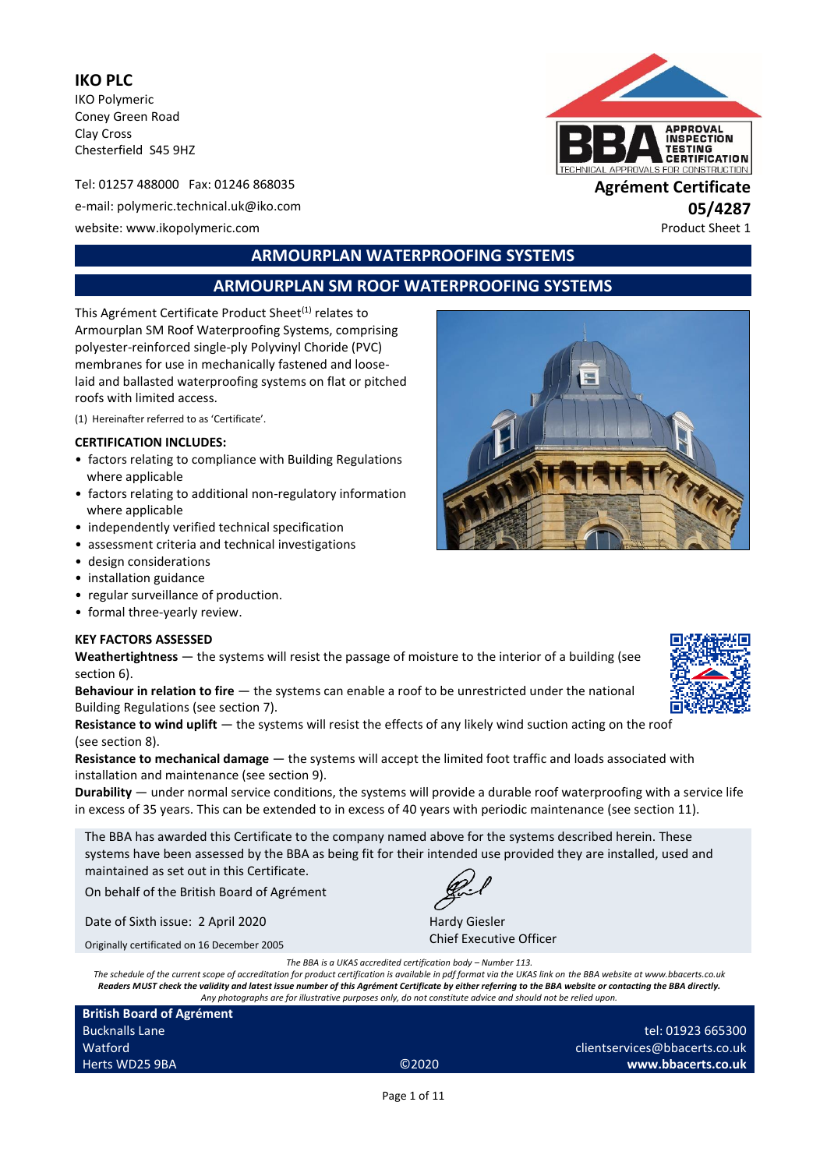**IKO PLC** IKO Polymeric Coney Green Road Clay Cross Chesterfield S45 9HZ

Tel: 01257 488000 Fax: 01246 868035 **Agrément Certificate** e-mail: polymeric.technical.uk@iko.com **05/4287** website: www.ikopolymeric.com example and the example of the example of the example of the example of the example of the example of the example of the example of the example of the example of the example of the example of



# **ARMOURPLAN WATERPROOFING SYSTEMS**

# **ARMOURPLAN SM ROOF WATERPROOFING SYSTEMS**

This Agrément Certificate Product Sheet<sup>(1)</sup> relates to Armourplan SM Roof Waterproofing Systems, comprising polyester-reinforced single-ply Polyvinyl Choride (PVC) membranes for use in mechanically fastened and looselaid and ballasted waterproofing systems on flat or pitched roofs with limited access.

(1) Hereinafter referred to as 'Certificate'.

#### **CERTIFICATION INCLUDES:**

- factors relating to compliance with Building Regulations where applicable
- factors relating to additional non-regulatory information where applicable
- independently verified technical specification
- assessment criteria and technical investigations
- design considerations
- installation guidance
- regular surveillance of production.
- formal three-yearly review.

#### **KEY FACTORS ASSESSED**

**Weathertightness** — the systems will resist the passage of moisture to the interior of a building (see section 6).

**Behaviour in relation to fire** — the systems can enable a roof to be unrestricted under the national Building Regulations (see section 7).

**Resistance to wind uplift** — the systems will resist the effects of any likely wind suction acting on the roof (see section 8).

**Resistance to mechanical damage** — the systems will accept the limited foot traffic and loads associated with installation and maintenance (see section 9).

**Durability** — under normal service conditions, the systems will provide a durable roof waterproofing with a service life in excess of 35 years. This can be extended to in excess of 40 years with periodic maintenance (see section 11).

The BBA has awarded this Certificate to the company named above for the systems described herein. These systems have been assessed by the BBA as being fit for their intended use provided they are installed, used and maintained as set out in this Certificate.

On behalf of the British Board of Agrément

Date of Sixth issue: 2 April 2020

Originally certificated on 16 December 2005

*The BBA is a UKAS accredited certification body – Number 113.*

*The schedule of the current scope of accreditation for product certification is available in pdf format via the UKAS link on the BBA website at www.bbacerts.co.uk Readers MUST check the validity and latest issue number of this Agrément Certificate by either referring to the BBA website or contacting the BBA directly. Any photographs are for illustrative purposes only, do not constitute advice and should not be relied upon.*

| <b>British Board of Agrément</b> |       |                               |
|----------------------------------|-------|-------------------------------|
| <b>Bucknalls Lane</b>            |       | tel: 01923 665300             |
| Watford                          |       | clientservices@bbacerts.co.uk |
| Herts WD25 9BA                   | @2020 | www.bbacerts.co.uk            |
|                                  |       |                               |

Hardy Giesler

Chief Executive Officer

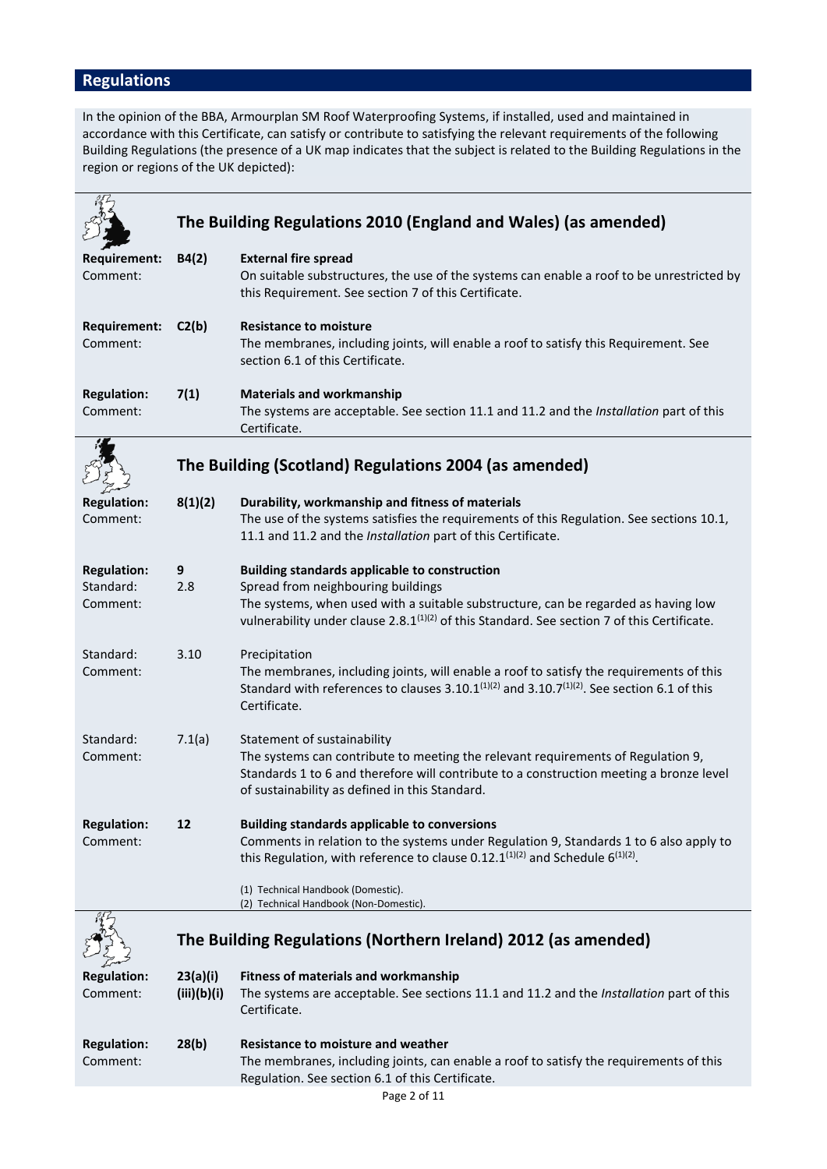# **Regulations**

In the opinion of the BBA, Armourplan SM Roof Waterproofing Systems, if installed, used and maintained in accordance with this Certificate, can satisfy or contribute to satisfying the relevant requirements of the following Building Regulations (the presence of a UK map indicates that the subject is related to the Building Regulations in the region or regions of the UK depicted):

|                       |             | The Building Regulations 2010 (England and Wales) (as amended)                                                                                                                                                                 |
|-----------------------|-------------|--------------------------------------------------------------------------------------------------------------------------------------------------------------------------------------------------------------------------------|
| <b>Requirement:</b>   | B4(2)       | <b>External fire spread</b>                                                                                                                                                                                                    |
| Comment:              |             | On suitable substructures, the use of the systems can enable a roof to be unrestricted by<br>this Requirement. See section 7 of this Certificate.                                                                              |
| <b>Requirement:</b>   | C2(b)       | <b>Resistance to moisture</b>                                                                                                                                                                                                  |
| Comment:              |             | The membranes, including joints, will enable a roof to satisfy this Requirement. See<br>section 6.1 of this Certificate.                                                                                                       |
| <b>Regulation:</b>    | 7(1)        | <b>Materials and workmanship</b>                                                                                                                                                                                               |
| Comment:              |             | The systems are acceptable. See section 11.1 and 11.2 and the Installation part of this<br>Certificate.                                                                                                                        |
|                       |             | The Building (Scotland) Regulations 2004 (as amended)                                                                                                                                                                          |
| <b>Regulation:</b>    | 8(1)(2)     | Durability, workmanship and fitness of materials                                                                                                                                                                               |
| Comment:              |             | The use of the systems satisfies the requirements of this Regulation. See sections 10.1,<br>11.1 and 11.2 and the Installation part of this Certificate.                                                                       |
| <b>Regulation:</b>    | 9           | <b>Building standards applicable to construction</b>                                                                                                                                                                           |
| Standard:<br>Comment: | 2.8         | Spread from neighbouring buildings<br>The systems, when used with a suitable substructure, can be regarded as having low                                                                                                       |
|                       |             | vulnerability under clause 2.8.1 <sup>(1)(2)</sup> of this Standard. See section 7 of this Certificate.                                                                                                                        |
| Standard:             | 3.10        | Precipitation                                                                                                                                                                                                                  |
| Comment:              |             | The membranes, including joints, will enable a roof to satisfy the requirements of this<br>Standard with references to clauses 3.10.1 <sup>(1)(2)</sup> and 3.10.7 <sup>(1)(2)</sup> . See section 6.1 of this<br>Certificate. |
| Standard:             | 7.1(a)      | Statement of sustainability                                                                                                                                                                                                    |
| Comment:              |             | The systems can contribute to meeting the relevant requirements of Regulation 9,                                                                                                                                               |
|                       |             | Standards 1 to 6 and therefore will contribute to a construction meeting a bronze level<br>of sustainability as defined in this Standard.                                                                                      |
| <b>Regulation:</b>    | 12          | <b>Building standards applicable to conversions</b>                                                                                                                                                                            |
| Comment:              |             | Comments in relation to the systems under Regulation 9, Standards 1 to 6 also apply to<br>this Regulation, with reference to clause 0.12.1 $(1)(2)$ and Schedule 6 $(1)(2)$ .                                                  |
|                       |             | (1) Technical Handbook (Domestic).<br>(2) Technical Handbook (Non-Domestic).                                                                                                                                                   |
|                       |             | The Building Regulations (Northern Ireland) 2012 (as amended)                                                                                                                                                                  |
| <b>Regulation:</b>    | 23(a)(i)    | <b>Fitness of materials and workmanship</b>                                                                                                                                                                                    |
| Comment:              | (iii)(b)(i) | The systems are acceptable. See sections 11.1 and 11.2 and the Installation part of this<br>Certificate.                                                                                                                       |
| <b>Regulation:</b>    | 28(b)       | <b>Resistance to moisture and weather</b>                                                                                                                                                                                      |
| Comment:              |             | The membranes, including joints, can enable a roof to satisfy the requirements of this<br>Regulation. See section 6.1 of this Certificate.                                                                                     |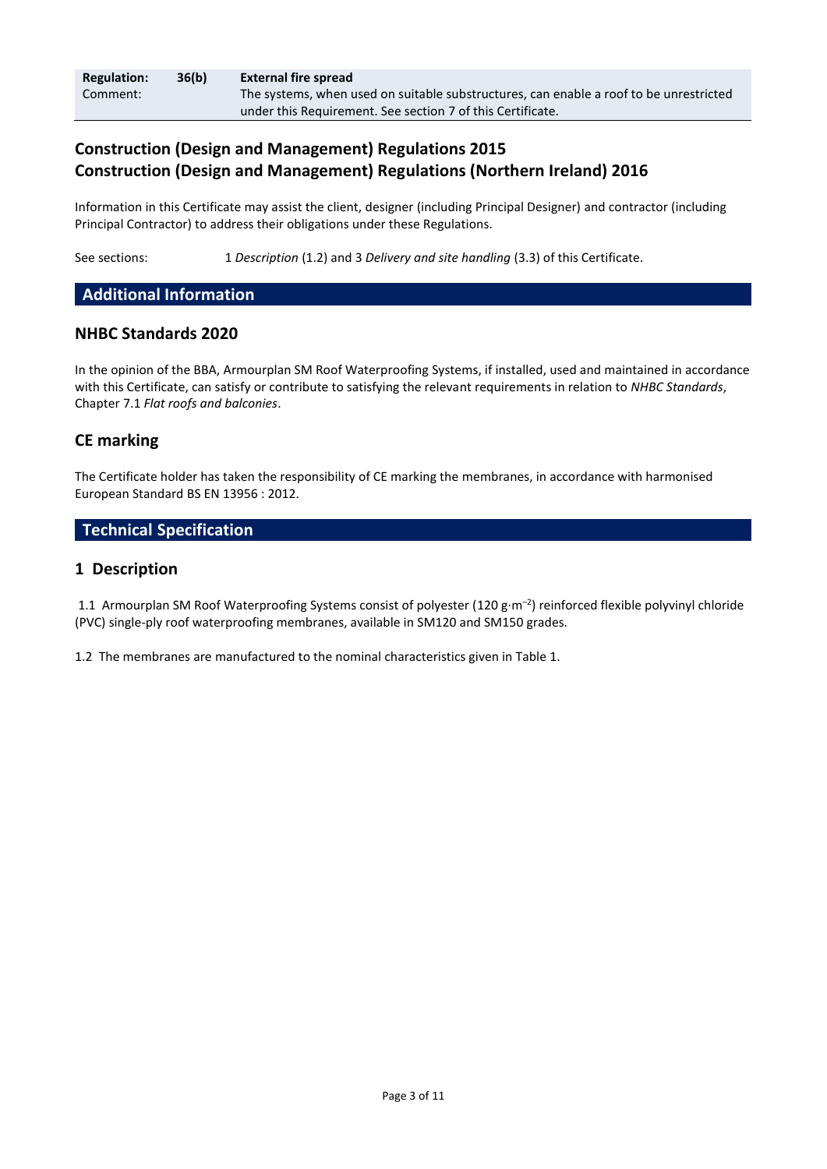| <b>Regulation:</b> | 36(b) | External fire spread                                                                   |
|--------------------|-------|----------------------------------------------------------------------------------------|
| Comment:           |       | The systems, when used on suitable substructures, can enable a roof to be unrestricted |
|                    |       | under this Requirement. See section 7 of this Certificate.                             |

# **Construction (Design and Management) Regulations 2015 Construction (Design and Management) Regulations (Northern Ireland) 2016**

Information in this Certificate may assist the client, designer (including Principal Designer) and contractor (including Principal Contractor) to address their obligations under these Regulations.

See sections: 1 *Description* (1.2) and 3 *Delivery and site handling* (3.3) of this Certificate.

# **Additional Information**

# **NHBC Standards 2020**

In the opinion of the BBA, Armourplan SM Roof Waterproofing Systems, if installed, used and maintained in accordance with this Certificate, can satisfy or contribute to satisfying the relevant requirements in relation to *NHBC Standards*, Chapter 7.1 *Flat roofs and balconies*.

# **CE marking**

The Certificate holder has taken the responsibility of CE marking the membranes, in accordance with harmonised European Standard BS EN 13956 : 2012.

# **Technical Specification**

# **1 Description**

1.1 Armourplan SM Roof Waterproofing Systems consist of polyester (120 g·m<sup>-2</sup>) reinforced flexible polyvinyl chloride (PVC) single-ply roof waterproofing membranes, available in SM120 and SM150 grades.

1.2 The membranes are manufactured to the nominal characteristics given in Table 1.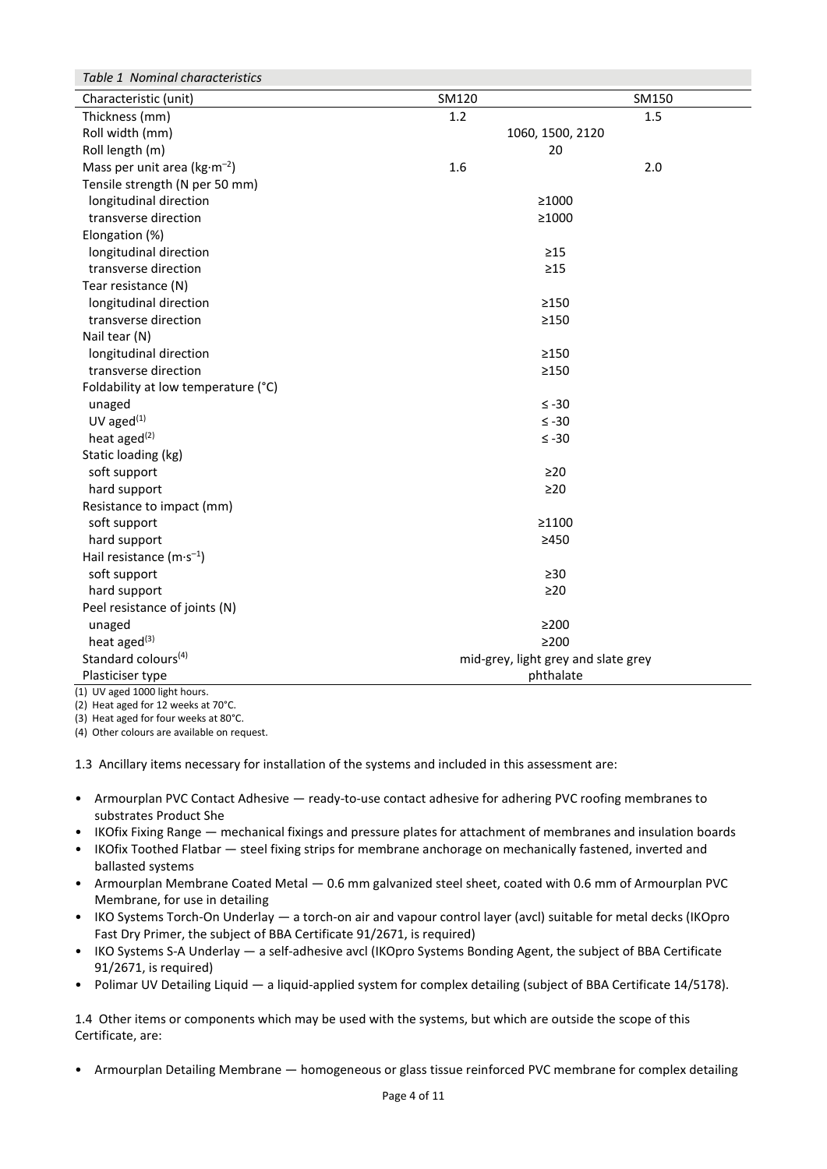| Table 1 Nominal characteristics     |                                     |       |  |
|-------------------------------------|-------------------------------------|-------|--|
| Characteristic (unit)               | SM120                               | SM150 |  |
| Thickness (mm)                      | 1.2                                 | 1.5   |  |
| Roll width (mm)                     | 1060, 1500, 2120                    |       |  |
| Roll length (m)                     | 20                                  |       |  |
| Mass per unit area ( $kg·m-2$ )     | 1.6                                 | 2.0   |  |
| Tensile strength (N per 50 mm)      |                                     |       |  |
| longitudinal direction              | ≥1000                               |       |  |
| transverse direction                | ≥1000                               |       |  |
| Elongation (%)                      |                                     |       |  |
| longitudinal direction              | $\geq$ 15                           |       |  |
| transverse direction                | $\geq$ 15                           |       |  |
| Tear resistance (N)                 |                                     |       |  |
| longitudinal direction              | $\geq$ 150                          |       |  |
| transverse direction                | $\geq$ 150                          |       |  |
| Nail tear (N)                       |                                     |       |  |
| longitudinal direction              | >150                                |       |  |
| transverse direction                | $\geq$ 150                          |       |  |
| Foldability at low temperature (°C) |                                     |       |  |
| unaged                              | $\leq -30$                          |       |  |
| $UV$ aged $(1)$                     | $\leq -30$                          |       |  |
| heat aged <sup>(2)</sup>            | $≤ -30$                             |       |  |
| Static loading (kg)                 |                                     |       |  |
| soft support                        | $\geq$ 20                           |       |  |
| hard support                        | $\geq$ 20                           |       |  |
| Resistance to impact (mm)           |                                     |       |  |
| soft support                        | ≥1100                               |       |  |
| hard support                        | >450                                |       |  |
| Hail resistance $(m \cdot s^{-1})$  |                                     |       |  |
| soft support                        | $\geq 30$                           |       |  |
| hard support                        | $\geq$ 20                           |       |  |
| Peel resistance of joints (N)       |                                     |       |  |
| unaged                              | $\geq$ 200                          |       |  |
| heat aged <sup>(3)</sup>            | $\geq$ 200                          |       |  |
| Standard colours <sup>(4)</sup>     | mid-grey, light grey and slate grey |       |  |
| Plasticiser type                    | phthalate                           |       |  |
| (1) UV aged 1000 light hours.       |                                     |       |  |

(2) Heat aged for 12 weeks at 70°C.

(3) Heat aged for four weeks at 80°C.

(4) Other colours are available on request.

1.3 Ancillary items necessary for installation of the systems and included in this assessment are:

- Armourplan PVC Contact Adhesive ready-to-use contact adhesive for adhering PVC roofing membranes to substrates Product She
- IKOfix Fixing Range mechanical fixings and pressure plates for attachment of membranes and insulation boards
- IKOfix Toothed Flatbar steel fixing strips for membrane anchorage on mechanically fastened, inverted and ballasted systems
- Armourplan Membrane Coated Metal 0.6 mm galvanized steel sheet, coated with 0.6 mm of Armourplan PVC Membrane, for use in detailing
- IKO Systems Torch-On Underlay a torch-on air and vapour control layer (avcl) suitable for metal decks (IKOpro Fast Dry Primer, the subject of BBA Certificate 91/2671, is required)
- IKO Systems S-A Underlay a self-adhesive avcl (IKOpro Systems Bonding Agent, the subject of BBA Certificate 91/2671, is required)
- Polimar UV Detailing Liquid a liquid-applied system for complex detailing (subject of BBA Certificate 14/5178).

1.4 Other items or components which may be used with the systems, but which are outside the scope of this Certificate, are:

• Armourplan Detailing Membrane — homogeneous or glass tissue reinforced PVC membrane for complex detailing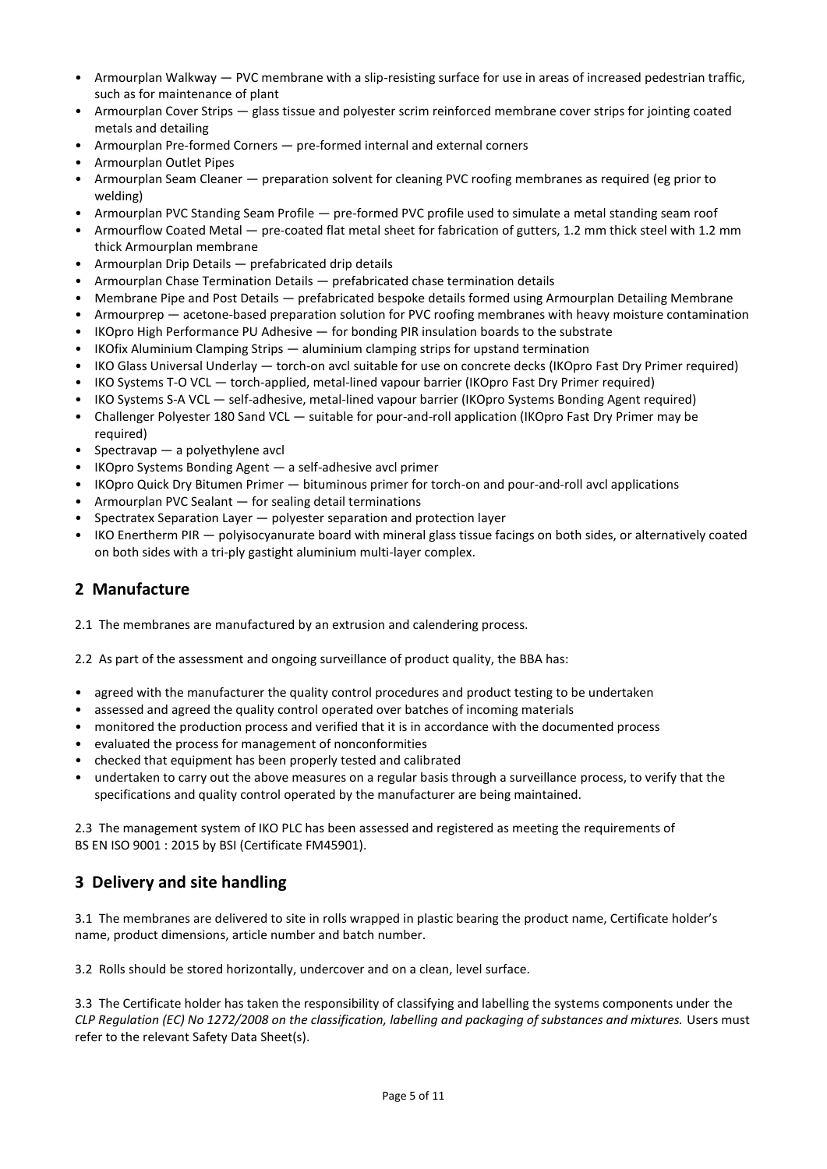- Armourplan Walkway PVC membrane with a slip-resisting surface for use in areas of increased pedestrian traffic, such as for maintenance of plant
- Armourplan Cover Strips glass tissue and polyester scrim reinforced membrane cover strips for jointing coated metals and detailing
- Armourplan Pre-formed Corners pre-formed internal and external corners
- Armourplan Outlet Pipes
- Armourplan Seam Cleaner preparation solvent for cleaning PVC roofing membranes as required (eg prior to welding)
- Armourplan PVC Standing Seam Profile pre-formed PVC profile used to simulate a metal standing seam roof
- Armourflow Coated Metal pre-coated flat metal sheet for fabrication of gutters, 1.2 mm thick steel with 1.2 mm thick Armourplan membrane
- Armourplan Drip Details prefabricated drip details
- Armourplan Chase Termination Details prefabricated chase termination details
- Membrane Pipe and Post Details prefabricated bespoke details formed using Armourplan Detailing Membrane
- Armourprep acetone-based preparation solution for PVC roofing membranes with heavy moisture contamination
- IKOpro High Performance PU Adhesive for bonding PIR insulation boards to the substrate
- IKOfix Aluminium Clamping Strips aluminium clamping strips for upstand termination
- IKO Glass Universal Underlay torch-on avcl suitable for use on concrete decks (IKOpro Fast Dry Primer required)
- IKO Systems T-O VCL torch-applied, metal-lined vapour barrier (IKOpro Fast Dry Primer required)
- IKO Systems S-A VCL self-adhesive, metal-lined vapour barrier (IKOpro Systems Bonding Agent required)
- Challenger Polyester 180 Sand VCL suitable for pour-and-roll application (IKOpro Fast Dry Primer may be required)
- Spectravap a polyethylene avcl
- IKOpro Systems Bonding Agent a self-adhesive avcl primer
- IKOpro Quick Dry Bitumen Primer bituminous primer for torch-on and pour-and-roll avcl applications
- Armourplan PVC Sealant for sealing detail terminations
- Spectratex Separation Layer polyester separation and protection layer
- IKO Enertherm PIR polyisocyanurate board with mineral glass tissue facings on both sides, or alternatively coated on both sides with a tri-ply gastight aluminium multi-layer complex.

# **2 Manufacture**

2.1 The membranes are manufactured by an extrusion and calendering process.

2.2 As part of the assessment and ongoing surveillance of product quality, the BBA has:

- agreed with the manufacturer the quality control procedures and product testing to be undertaken
- assessed and agreed the quality control operated over batches of incoming materials
- monitored the production process and verified that it is in accordance with the documented process
- evaluated the process for management of nonconformities
- checked that equipment has been properly tested and calibrated
- undertaken to carry out the above measures on a regular basis through a surveillance process, to verify that the specifications and quality control operated by the manufacturer are being maintained.

2.3 The management system of IKO PLC has been assessed and registered as meeting the requirements of BS EN ISO 9001 : 2015 by BSI (Certificate FM45901).

# **3 Delivery and site handling**

3.1 The membranes are delivered to site in rolls wrapped in plastic bearing the product name, Certificate holder's name, product dimensions, article number and batch number.

3.2 Rolls should be stored horizontally, undercover and on a clean, level surface.

3.3 The Certificate holder has taken the responsibility of classifying and labelling the systems components under the *CLP Regulation (EC) No 1272/2008 on the classification, labelling and packaging of substances and mixtures.* Users must refer to the relevant Safety Data Sheet(s).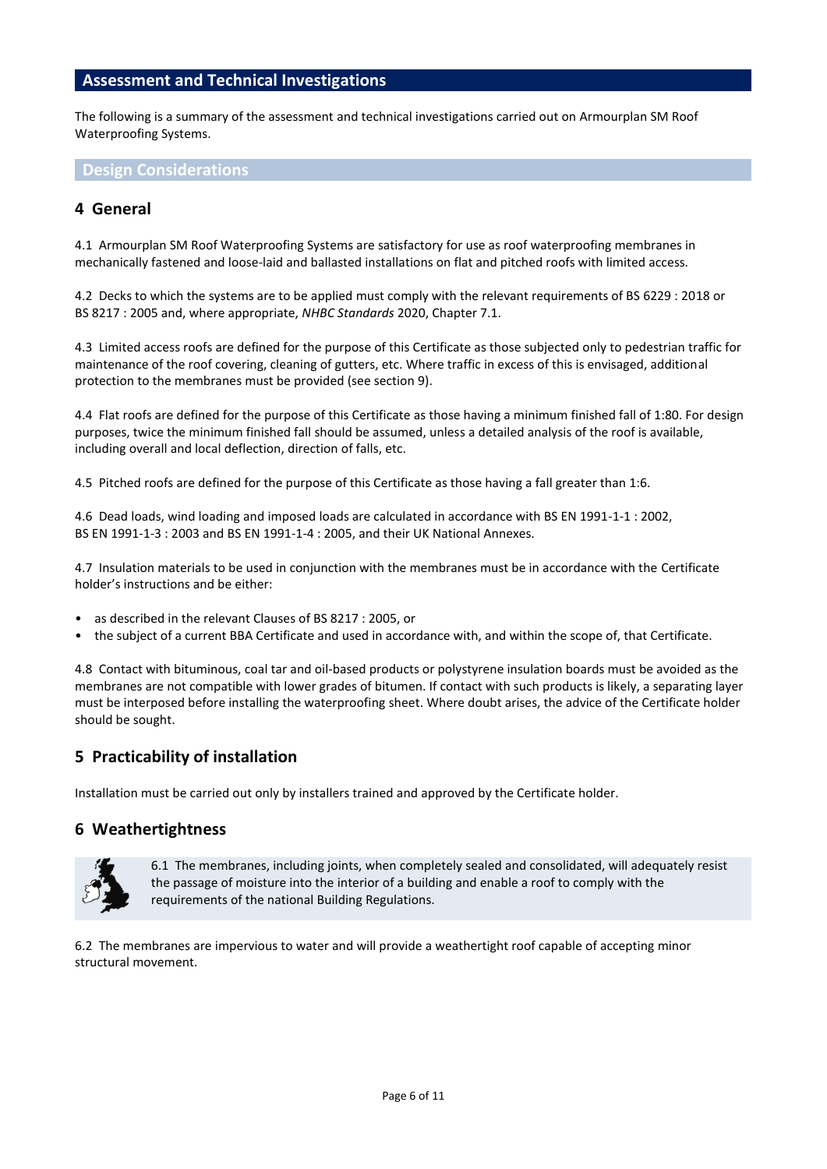## **Assessment and Technical Investigations**

The following is a summary of the assessment and technical investigations carried out on Armourplan SM Roof Waterproofing Systems.

**Design Considerations**

# **4 General**

4.1 Armourplan SM Roof Waterproofing Systems are satisfactory for use as roof waterproofing membranes in mechanically fastened and loose-laid and ballasted installations on flat and pitched roofs with limited access.

4.2 Decks to which the systems are to be applied must comply with the relevant requirements of BS 6229 : 2018 or BS 8217 : 2005 and, where appropriate, *NHBC Standards* 2020, Chapter 7.1.

4.3 Limited access roofs are defined for the purpose of this Certificate as those subjected only to pedestrian traffic for maintenance of the roof covering, cleaning of gutters, etc. Where traffic in excess of this is envisaged, additional protection to the membranes must be provided (see section 9).

4.4 Flat roofs are defined for the purpose of this Certificate as those having a minimum finished fall of 1:80. For design purposes, twice the minimum finished fall should be assumed, unless a detailed analysis of the roof is available, including overall and local deflection, direction of falls, etc.

4.5 Pitched roofs are defined for the purpose of this Certificate as those having a fall greater than 1:6.

4.6 Dead loads, wind loading and imposed loads are calculated in accordance with BS EN 1991-1-1 : 2002, BS EN 1991-1-3 : 2003 and BS EN 1991-1-4 : 2005, and their UK National Annexes.

4.7 Insulation materials to be used in conjunction with the membranes must be in accordance with the Certificate holder's instructions and be either:

- as described in the relevant Clauses of BS 8217 : 2005, or
- the subject of a current BBA Certificate and used in accordance with, and within the scope of, that Certificate.

4.8 Contact with bituminous, coal tar and oil-based products or polystyrene insulation boards must be avoided as the membranes are not compatible with lower grades of bitumen. If contact with such products is likely, a separating layer must be interposed before installing the waterproofing sheet. Where doubt arises, the advice of the Certificate holder should be sought.

# **5 Practicability of installation**

Installation must be carried out only by installers trained and approved by the Certificate holder.

#### **6 Weathertightness**



6.1 The membranes, including joints, when completely sealed and consolidated, will adequately resist the passage of moisture into the interior of a building and enable a roof to comply with the requirements of the national Building Regulations.

6.2 The membranes are impervious to water and will provide a weathertight roof capable of accepting minor structural movement.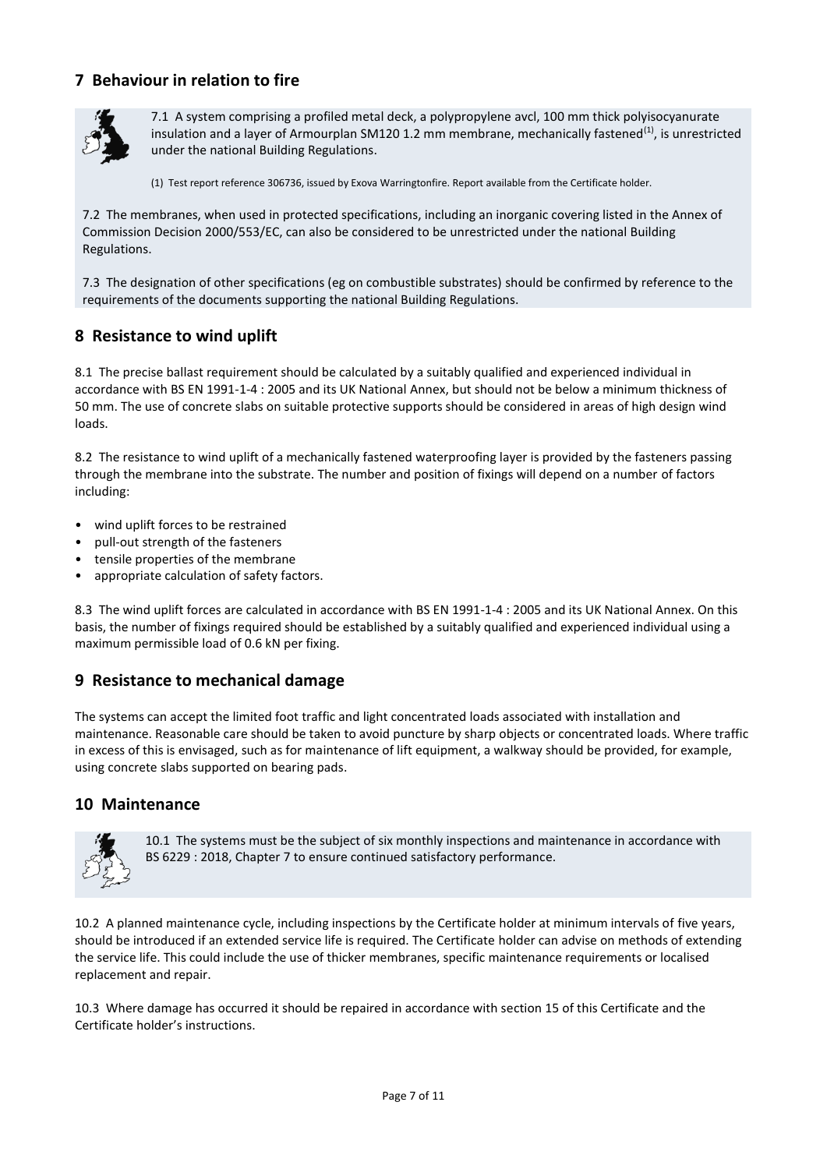# **7 Behaviour in relation to fire**



7.1 A system comprising a profiled metal deck, a polypropylene avcl, 100 mm thick polyisocyanurate insulation and a layer of Armourplan SM120 1.2 mm membrane, mechanically fastened<sup>(1)</sup>, is unrestricted under the national Building Regulations.

(1) Test report reference 306736, issued by Exova Warringtonfire. Report available from the Certificate holder.

7.2 The membranes, when used in protected specifications, including an inorganic covering listed in the Annex of Commission Decision 2000/553/EC, can also be considered to be unrestricted under the national Building Regulations.

7.3 The designation of other specifications (eg on combustible substrates) should be confirmed by reference to the requirements of the documents supporting the national Building Regulations.

# **8 Resistance to wind uplift**

8.1 The precise ballast requirement should be calculated by a suitably qualified and experienced individual in accordance with BS EN 1991-1-4 : 2005 and its UK National Annex, but should not be below a minimum thickness of 50 mm. The use of concrete slabs on suitable protective supports should be considered in areas of high design wind loads.

8.2 The resistance to wind uplift of a mechanically fastened waterproofing layer is provided by the fasteners passing through the membrane into the substrate. The number and position of fixings will depend on a number of factors including:

- wind uplift forces to be restrained
- pull-out strength of the fasteners
- tensile properties of the membrane
- appropriate calculation of safety factors.

8.3 The wind uplift forces are calculated in accordance with BS EN 1991-1-4 : 2005 and its UK National Annex. On this basis, the number of fixings required should be established by a suitably qualified and experienced individual using a maximum permissible load of 0.6 kN per fixing.

# **9 Resistance to mechanical damage**

The systems can accept the limited foot traffic and light concentrated loads associated with installation and maintenance. Reasonable care should be taken to avoid puncture by sharp objects or concentrated loads. Where traffic in excess of this is envisaged, such as for maintenance of lift equipment, a walkway should be provided, for example, using concrete slabs supported on bearing pads.

# **10 Maintenance**



10.1 The systems must be the subject of six monthly inspections and maintenance in accordance with BS 6229 : 2018, Chapter 7 to ensure continued satisfactory performance.

10.2 A planned maintenance cycle, including inspections by the Certificate holder at minimum intervals of five years, should be introduced if an extended service life is required. The Certificate holder can advise on methods of extending the service life. This could include the use of thicker membranes, specific maintenance requirements or localised replacement and repair.

10.3 Where damage has occurred it should be repaired in accordance with section 15 of this Certificate and the Certificate holder's instructions.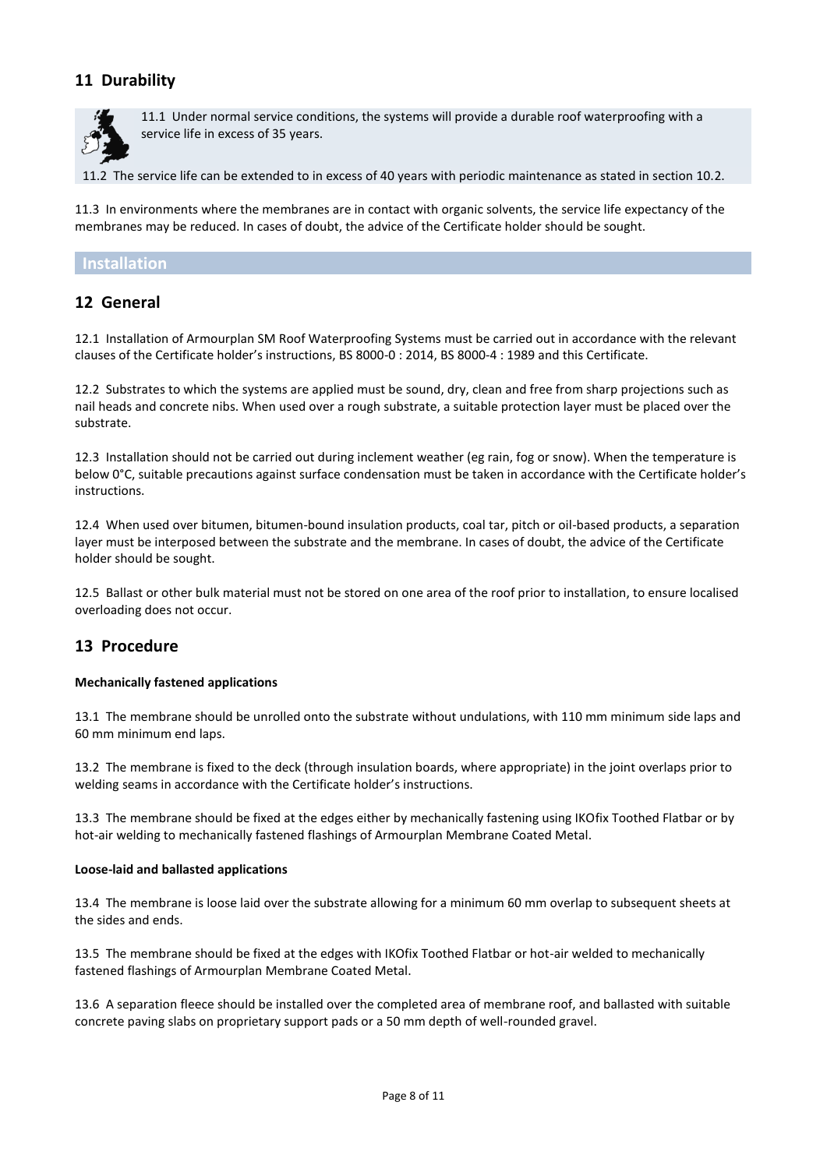# **11 Durability**



11.1 Under normal service conditions, the systems will provide a durable roof waterproofing with a service life in excess of 35 years.

11.2 The service life can be extended to in excess of 40 years with periodic maintenance as stated in section 10.2.

11.3 In environments where the membranes are in contact with organic solvents, the service life expectancy of the membranes may be reduced. In cases of doubt, the advice of the Certificate holder should be sought.

### **Installation**

# **12 General**

12.1 Installation of Armourplan SM Roof Waterproofing Systems must be carried out in accordance with the relevant clauses of the Certificate holder's instructions, BS 8000-0 : 2014, BS 8000-4 : 1989 and this Certificate.

12.2 Substrates to which the systems are applied must be sound, dry, clean and free from sharp projections such as nail heads and concrete nibs. When used over a rough substrate, a suitable protection layer must be placed over the substrate.

12.3 Installation should not be carried out during inclement weather (eg rain, fog or snow). When the temperature is below 0°C, suitable precautions against surface condensation must be taken in accordance with the Certificate holder's instructions.

12.4 When used over bitumen, bitumen-bound insulation products, coal tar, pitch or oil-based products, a separation layer must be interposed between the substrate and the membrane. In cases of doubt, the advice of the Certificate holder should be sought.

12.5 Ballast or other bulk material must not be stored on one area of the roof prior to installation, to ensure localised overloading does not occur.

# **13 Procedure**

#### **Mechanically fastened applications**

13.1 The membrane should be unrolled onto the substrate without undulations, with 110 mm minimum side laps and 60 mm minimum end laps.

13.2 The membrane is fixed to the deck (through insulation boards, where appropriate) in the joint overlaps prior to welding seams in accordance with the Certificate holder's instructions.

13.3 The membrane should be fixed at the edges either by mechanically fastening using IKOfix Toothed Flatbar or by hot-air welding to mechanically fastened flashings of Armourplan Membrane Coated Metal.

#### **Loose-laid and ballasted applications**

13.4 The membrane is loose laid over the substrate allowing for a minimum 60 mm overlap to subsequent sheets at the sides and ends.

13.5 The membrane should be fixed at the edges with IKOfix Toothed Flatbar or hot-air welded to mechanically fastened flashings of Armourplan Membrane Coated Metal.

13.6 A separation fleece should be installed over the completed area of membrane roof, and ballasted with suitable concrete paving slabs on proprietary support pads or a 50 mm depth of well-rounded gravel.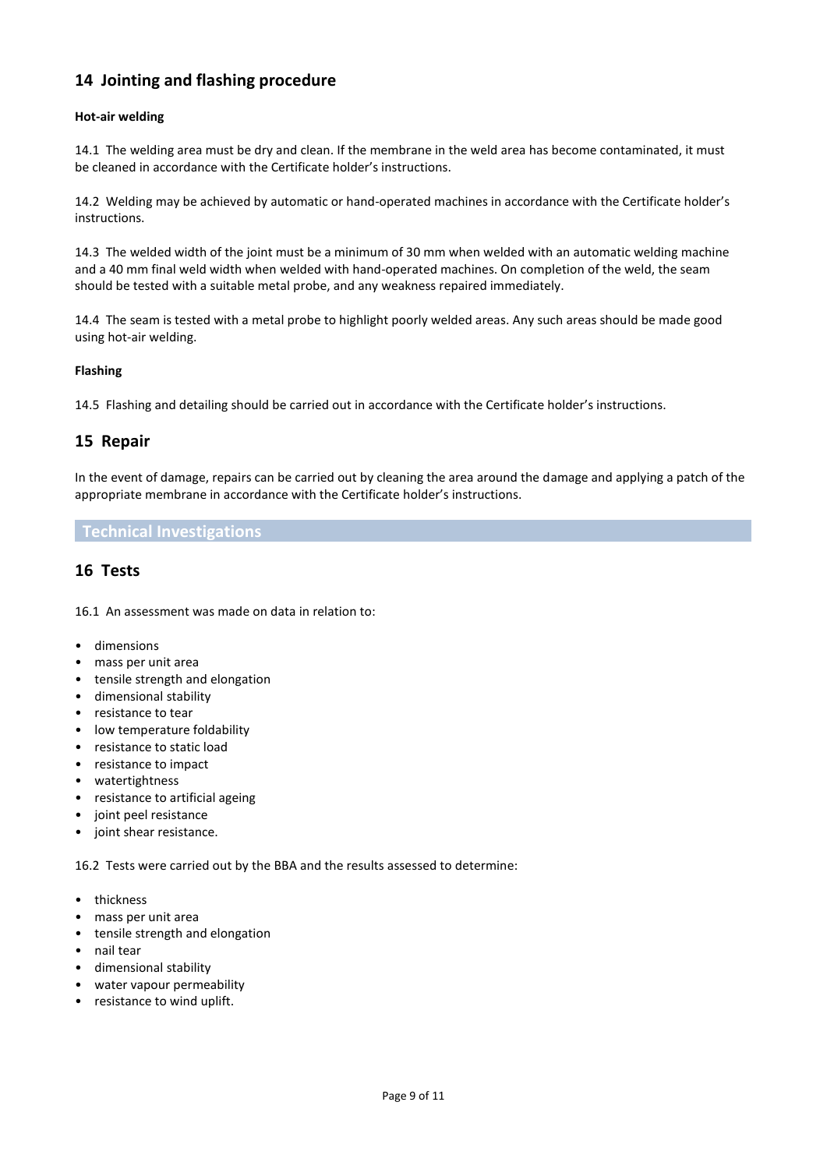# **14 Jointing and flashing procedure**

#### **Hot-air welding**

14.1 The welding area must be dry and clean. If the membrane in the weld area has become contaminated, it must be cleaned in accordance with the Certificate holder's instructions.

14.2 Welding may be achieved by automatic or hand-operated machines in accordance with the Certificate holder's instructions.

14.3 The welded width of the joint must be a minimum of 30 mm when welded with an automatic welding machine and a 40 mm final weld width when welded with hand-operated machines. On completion of the weld, the seam should be tested with a suitable metal probe, and any weakness repaired immediately.

14.4 The seam is tested with a metal probe to highlight poorly welded areas. Any such areas should be made good using hot-air welding.

#### **Flashing**

14.5 Flashing and detailing should be carried out in accordance with the Certificate holder's instructions.

# **15 Repair**

In the event of damage, repairs can be carried out by cleaning the area around the damage and applying a patch of the appropriate membrane in accordance with the Certificate holder's instructions.

#### **Technical Investigations**

# **16 Tests**

16.1 An assessment was made on data in relation to:

- dimensions
- mass per unit area
- tensile strength and elongation
- dimensional stability
- resistance to tear
- low temperature foldability
- resistance to static load
- resistance to impact
- watertightness
- resistance to artificial ageing
- joint peel resistance
- joint shear resistance.

16.2 Tests were carried out by the BBA and the results assessed to determine:

- thickness
- mass per unit area
- tensile strength and elongation
- nail tear
- dimensional stability
- water vapour permeability
- resistance to wind uplift.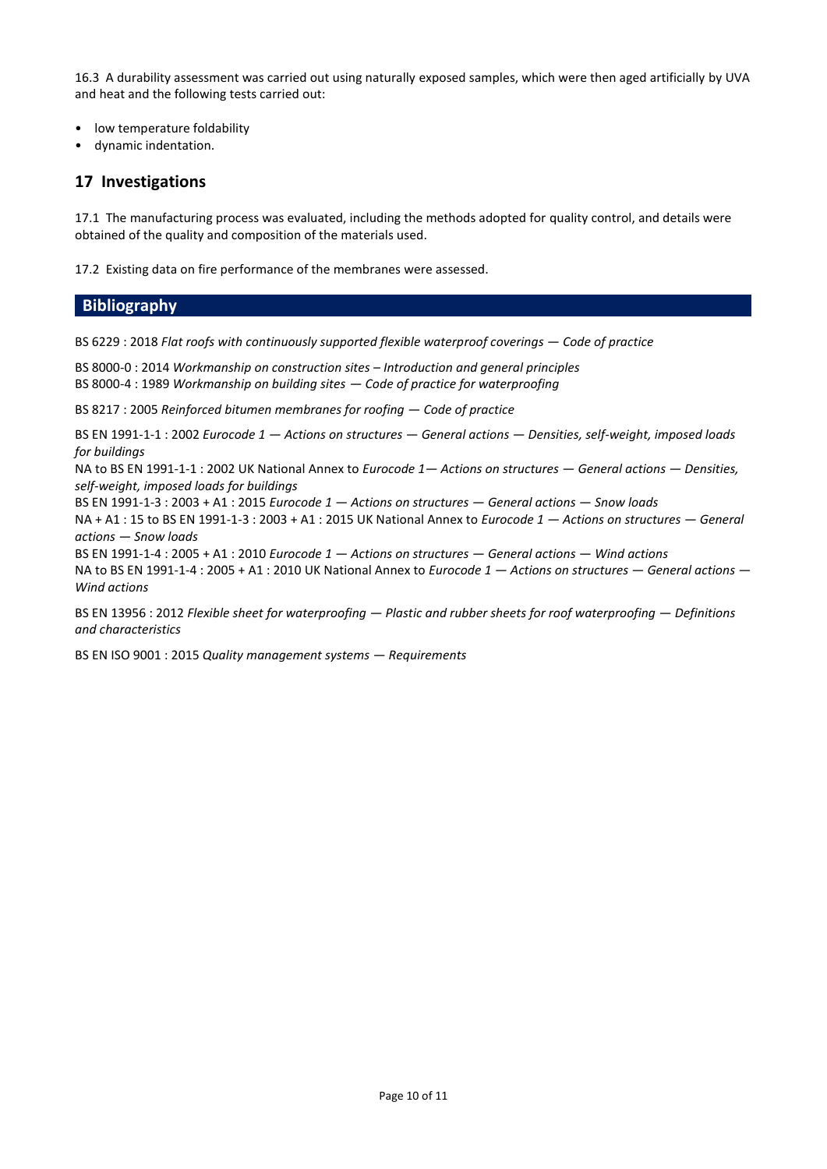16.3 A durability assessment was carried out using naturally exposed samples, which were then aged artificially by UVA and heat and the following tests carried out:

- low temperature foldability
- dynamic indentation.

# **17 Investigations**

17.1 The manufacturing process was evaluated, including the methods adopted for quality control, and details were obtained of the quality and composition of the materials used.

17.2 Existing data on fire performance of the membranes were assessed.

## **Bibliography**

BS 6229 : 2018 *Flat roofs with continuously supported flexible waterproof coverings — Code of practice* 

BS 8000-0 : 2014 *Workmanship on construction sites – Introduction and general principles* BS 8000-4 : 1989 *Workmanship on building sites — Code of practice for waterproofing*

BS 8217 : 2005 *Reinforced bitumen membranes for roofing — Code of practice*

BS EN 1991-1-1 : 2002 *Eurocode 1 — Actions on structures — General actions — Densities, self-weight, imposed loads for buildings* 

NA to BS EN 1991-1-1 : 2002 UK National Annex to *Eurocode 1— Actions on structures — General actions — Densities, self-weight, imposed loads for buildings* 

BS EN 1991-1-3 : 2003 + A1 : 2015 *Eurocode 1 — Actions on structures — General actions — Snow loads* 

NA + A1 : 15 to BS EN 1991-1-3 : 2003 + A1 : 2015 UK National Annex to *Eurocode 1 — Actions on structures — General actions — Snow loads* 

BS EN 1991-1-4 : 2005 + A1 : 2010 *Eurocode 1 — Actions on structures — General actions — Wind actions*  NA to BS EN 1991-1-4 : 2005 + A1 : 2010 UK National Annex to *Eurocode 1 — Actions on structures — General actions — Wind actions*

BS EN 13956 : 2012 *Flexible sheet for waterproofing — Plastic and rubber sheets for roof waterproofing — Definitions and characteristics*

BS EN ISO 9001 : 2015 *Quality management systems — Requirements*